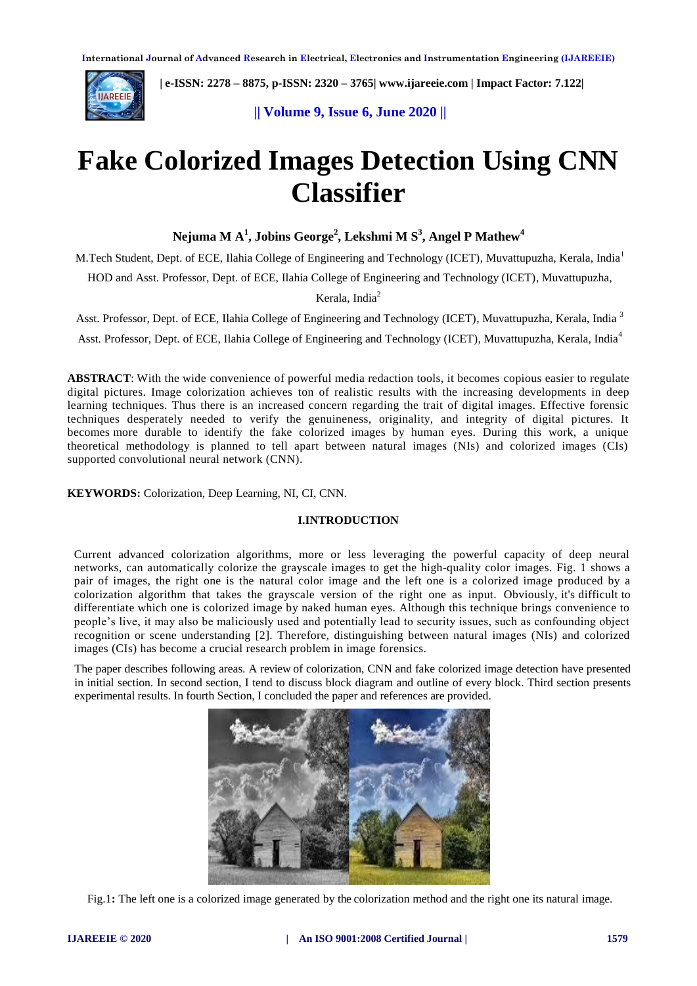

 **| e-ISSN: 2278 – 8875, p-ISSN: 2320 – 3765[| www.ijareeie.com](http://www.ijareeie.com/) | Impact Factor: 7.122|** 

**|| Volume 9, Issue 6, June 2020 ||** 

# **Fake Colorized Images Detection Using CNN Classifier**

**Nejuma M A<sup>1</sup> , Jobins George<sup>2</sup> , Lekshmi M S<sup>3</sup> , Angel P Mathew<sup>4</sup>**

M.Tech Student, Dept. of ECE, Ilahia College of Engineering and Technology (ICET), Muvattupuzha, Kerala, India<sup>1</sup>

HOD and Asst. Professor, Dept. of ECE, Ilahia College of Engineering and Technology (ICET), Muvattupuzha,

Kerala, India<sup>2</sup>

Asst. Professor, Dept. of ECE, Ilahia College of Engineering and Technology (ICET), Muvattupuzha, Kerala, India<sup>3</sup>

Asst. Professor, Dept. of ECE, Ilahia College of Engineering and Technology (ICET), Muvattupuzha, Kerala, India<sup>4</sup>

**ABSTRACT**: With the wide convenience of powerful media redaction tools, it becomes copious easier to regulate digital pictures. Image colorization achieves ton of realistic results with the increasing developments in deep learning techniques. Thus there is an increased concern regarding the trait of digital images. Effective forensic techniques desperately needed to verify the genuineness, originality, and integrity of digital pictures. It becomes more durable to identify the fake colorized images by human eyes. During this work, a unique theoretical methodology is planned to tell apart between natural images (NIs) and colorized images (CIs) supported convolutional neural network (CNN).

**KEYWORDS:** Colorization, Deep Learning, NI, CI, CNN.

# **I.INTRODUCTION**

Current advanced colorization algorithms, more or less leveraging the powerful capacity of deep neural networks, can automatically colorize the grayscale images to get the high-quality color images. Fig. 1 shows a pair of images, the right one is the natural color image and the left one is a colorized image produced by a colorization algorithm that takes the grayscale version of the right one as input. Obviously, it's difficult to differentiate which one is colorized image by naked human eyes. Although this technique brings convenience to people's live, it may also be maliciously used and potentially lead to security issues, such as confounding object recognition or scene understanding [2]. Therefore, distinguishing between natural images (NIs) and colorized images (CIs) has become a crucial research problem in image forensics.

The paper describes following areas. A review of colorization, CNN and fake colorized image detection have presented in initial section. In second section, I tend to discuss block diagram and outline of every block. Third section presents experimental results. In fourth Section, I concluded the paper and references are provided.



Fig.1**:** The left one is a colorized image generated by the colorization method and the right one its natural image.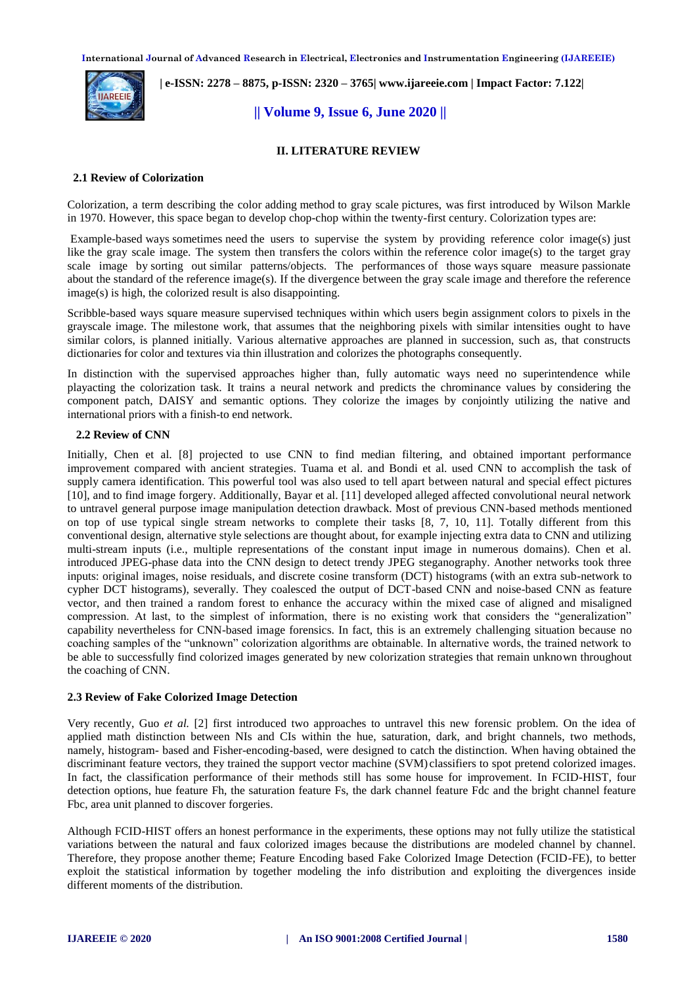

 **| e-ISSN: 2278 – 8875, p-ISSN: 2320 – 3765[| www.ijareeie.com](http://www.ijareeie.com/) | Impact Factor: 7.122|** 

# **|| Volume 9, Issue 6, June 2020 ||**

#### **II. LITERATURE REVIEW**

#### **2.1 Review of Colorization**

Colorization, a term describing the color adding method to gray scale pictures, was first introduced by Wilson Markle in 1970. However, this space began to develop chop-chop within the twenty-first century. Colorization types are:

Example-based ways sometimes need the users to supervise the system by providing reference color image(s) just like the gray scale image. The system then transfers the colors within the reference color image(s) to the target gray scale image by sorting out similar patterns/objects. The performances of those ways square measure passionate about the standard of the reference image(s). If the divergence between the gray scale image and therefore the reference image(s) is high, the colorized result is also disappointing.

Scribble-based ways square measure supervised techniques within which users begin assignment colors to pixels in the grayscale image. The milestone work, that assumes that the neighboring pixels with similar intensities ought to have similar colors, is planned initially. Various alternative approaches are planned in succession, such as, that constructs dictionaries for color and textures via thin illustration and colorizes the photographs consequently.

In distinction with the supervised approaches higher than, fully automatic ways need no superintendence while playacting the colorization task. It trains a neural network and predicts the chrominance values by considering the component patch, DAISY and semantic options. They colorize the images by conjointly utilizing the native and international priors with a finish-to end network.

#### **2.2 Review of CNN**

Initially, Chen et al. [8] projected to use CNN to find median filtering, and obtained important performance improvement compared with ancient strategies. Tuama et al. and Bondi et al. used CNN to accomplish the task of supply camera identification. This powerful tool was also used to tell apart between natural and special effect pictures [10], and to find image forgery. Additionally, Bayar et al. [11] developed alleged affected convolutional neural network to untravel general purpose image manipulation detection drawback. Most of previous CNN-based methods mentioned on top of use typical single stream networks to complete their tasks [8, 7, 10, 11]. Totally different from this conventional design, alternative style selections are thought about, for example injecting extra data to CNN and utilizing multi-stream inputs (i.e., multiple representations of the constant input image in numerous domains). Chen et al. introduced JPEG-phase data into the CNN design to detect trendy JPEG steganography. Another networks took three inputs: original images, noise residuals, and discrete cosine transform (DCT) histograms (with an extra sub-network to cypher DCT histograms), severally. They coalesced the output of DCT-based CNN and noise-based CNN as feature vector, and then trained a random forest to enhance the accuracy within the mixed case of aligned and misaligned compression. At last, to the simplest of information, there is no existing work that considers the "generalization" capability nevertheless for CNN-based image forensics. In fact, this is an extremely challenging situation because no coaching samples of the "unknown" colorization algorithms are obtainable. In alternative words, the trained network to be able to successfully find colorized images generated by new colorization strategies that remain unknown throughout the coaching of CNN.

#### **2.3 Review of Fake Colorized Image Detection**

Very recently, Guo *et al.* [2] first introduced two approaches to untravel this new forensic problem. On the idea of applied math distinction between NIs and CIs within the hue, saturation, dark, and bright channels, two methods, namely, histogram- based and Fisher-encoding-based, were designed to catch the distinction. When having obtained the discriminant feature vectors, they trained the support vector machine (SVM) classifiers to spot pretend colorized images. In fact, the classification performance of their methods still has some house for improvement. In FCID-HIST, four detection options, hue feature Fh, the saturation feature Fs, the dark channel feature Fdc and the bright channel feature Fbc, area unit planned to discover forgeries.

Although FCID-HIST offers an honest performance in the experiments, these options may not fully utilize the statistical variations between the natural and faux colorized images because the distributions are modeled channel by channel. Therefore, they propose another theme; Feature Encoding based Fake Colorized Image Detection (FCID-FE), to better exploit the statistical information by together modeling the info distribution and exploiting the divergences inside different moments of the distribution.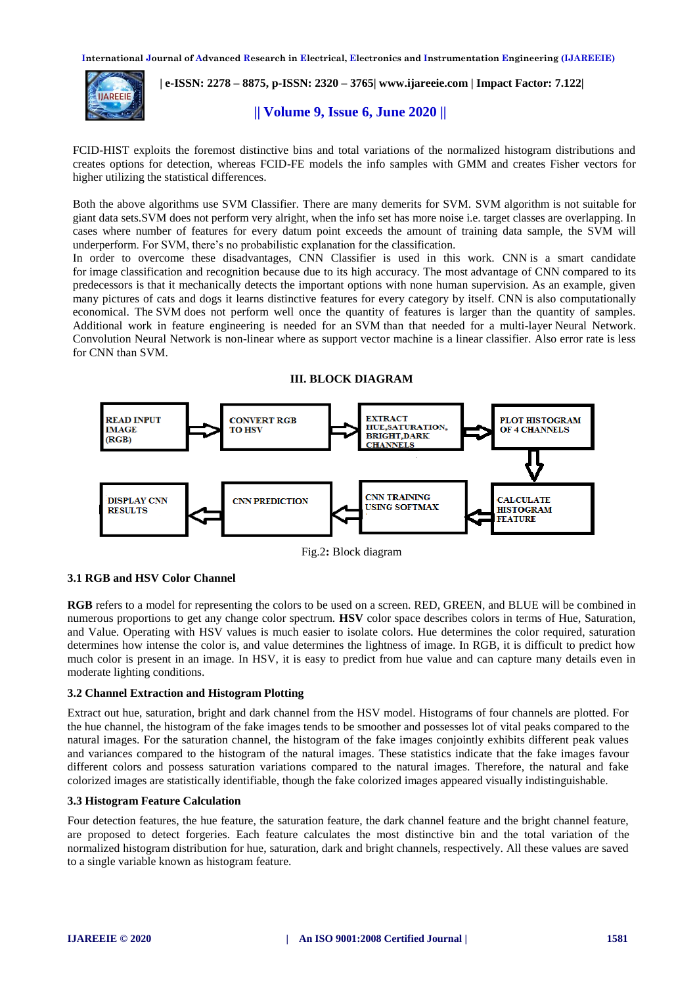

 **| e-ISSN: 2278 – 8875, p-ISSN: 2320 – 3765[| www.ijareeie.com](http://www.ijareeie.com/) | Impact Factor: 7.122|** 

# **|| Volume 9, Issue 6, June 2020 ||**

FCID-HIST exploits the foremost distinctive bins and total variations of the normalized histogram distributions and creates options for detection, whereas FCID-FE models the info samples with GMM and creates Fisher vectors for higher utilizing the statistical differences.

Both the above algorithms use SVM Classifier. There are many demerits for SVM. SVM algorithm is not suitable for giant data sets.SVM does not perform very alright, when the info set has more noise i.e. target classes are overlapping. In cases where number of features for every datum point exceeds the amount of training data sample, the SVM will underperform. For SVM, there's no probabilistic explanation for the classification.

In order to overcome these disadvantages, CNN Classifier is used in this work. CNN is a smart candidate for image classification and recognition because due to its high accuracy. The most advantage of CNN compared to its predecessors is that it mechanically detects the important options with none human supervision. As an example, given many pictures of cats and dogs it learns distinctive features for every category by itself. CNN is also computationally economical. The SVM does not perform well once the quantity of features is larger than the quantity of samples. Additional work in feature engineering is needed for an SVM than that needed for a multi-layer Neural Network. Convolution Neural Network is non-linear where as support vector machine is a linear classifier. Also error rate is less for CNN than SVM.

#### **III. BLOCK DIAGRAM**



Fig.2**:** Block diagram

# **3.1 RGB and HSV Color Channel**

**RGB** refers to a model for representing the colors to be used on a screen. RED, GREEN, and BLUE will be combined in numerous proportions to get any change color spectrum. **HSV** color space describes colors in terms of Hue, Saturation, and Value. Operating with HSV values is much easier to isolate colors. Hue determines the color required, saturation determines how intense the color is, and value determines the lightness of image. In RGB, it is difficult to predict how much color is present in an image. In HSV, it is easy to predict from hue value and can capture many details even in moderate lighting conditions.

#### **3.2 Channel Extraction and Histogram Plotting**

Extract out hue, saturation, bright and dark channel from the HSV model. Histograms of four channels are plotted. For the hue channel, the histogram of the fake images tends to be smoother and possesses lot of vital peaks compared to the natural images. For the saturation channel, the histogram of the fake images conjointly exhibits different peak values and variances compared to the histogram of the natural images. These statistics indicate that the fake images favour different colors and possess saturation variations compared to the natural images. Therefore, the natural and fake colorized images are statistically identifiable, though the fake colorized images appeared visually indistinguishable.

#### **3.3 Histogram Feature Calculation**

Four detection features, the hue feature, the saturation feature, the dark channel feature and the bright channel feature, are proposed to detect forgeries. Each feature calculates the most distinctive bin and the total variation of the normalized histogram distribution for hue, saturation, dark and bright channels, respectively. All these values are saved to a single variable known as histogram feature.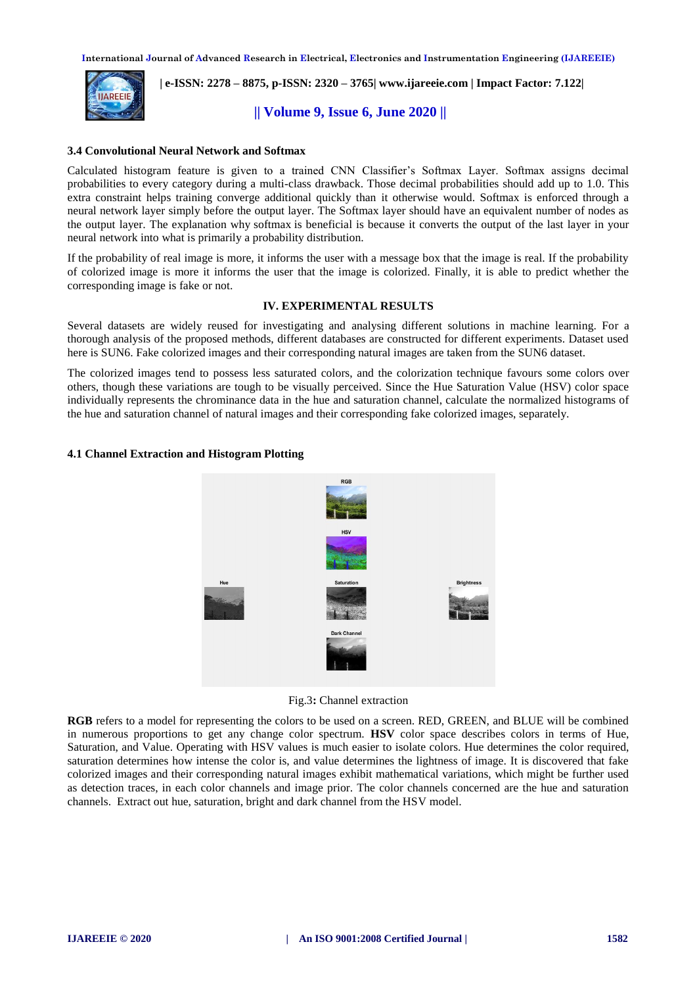

 **| e-ISSN: 2278 – 8875, p-ISSN: 2320 – 3765[| www.ijareeie.com](http://www.ijareeie.com/) | Impact Factor: 7.122|** 

**|| Volume 9, Issue 6, June 2020 ||** 

#### **3.4 Convolutional Neural Network and Softmax**

Calculated histogram feature is given to a trained CNN Classifier's Softmax Layer. Softmax assigns decimal probabilities to every category during a multi-class drawback. Those decimal probabilities should add up to 1.0. This extra constraint helps training converge additional quickly than it otherwise would. Softmax is enforced through a neural network layer simply before the output layer. The Softmax layer should have an equivalent number of nodes as the output layer. The explanation why softmax is beneficial is because it converts the output of the last layer in your neural network into what is primarily a probability distribution.

If the probability of real image is more, it informs the user with a message box that the image is real. If the probability of colorized image is more it informs the user that the image is colorized. Finally, it is able to predict whether the corresponding image is fake or not.

#### **IV. EXPERIMENTAL RESULTS**

Several datasets are widely reused for investigating and analysing different solutions in machine learning. For a thorough analysis of the proposed methods, different databases are constructed for different experiments. Dataset used here is SUN6. Fake colorized images and their corresponding natural images are taken from the SUN6 dataset.

The colorized images tend to possess less saturated colors, and the colorization technique favours some colors over others, though these variations are tough to be visually perceived. Since the Hue Saturation Value (HSV) color space individually represents the chrominance data in the hue and saturation channel, calculate the normalized histograms of the hue and saturation channel of natural images and their corresponding fake colorized images, separately.

# **4.1 Channel Extraction and Histogram Plotting**



Fig.3**:** Channel extraction

**RGB** refers to a model for representing the colors to be used on a screen. RED, GREEN, and BLUE will be combined in numerous proportions to get any change color spectrum. **HSV** color space describes colors in terms of Hue, Saturation, and Value. Operating with HSV values is much easier to isolate colors. Hue determines the color required, saturation determines how intense the color is, and value determines the lightness of image. It is discovered that fake colorized images and their corresponding natural images exhibit mathematical variations, which might be further used as detection traces, in each color channels and image prior. The color channels concerned are the hue and saturation channels. Extract out hue, saturation, bright and dark channel from the HSV model.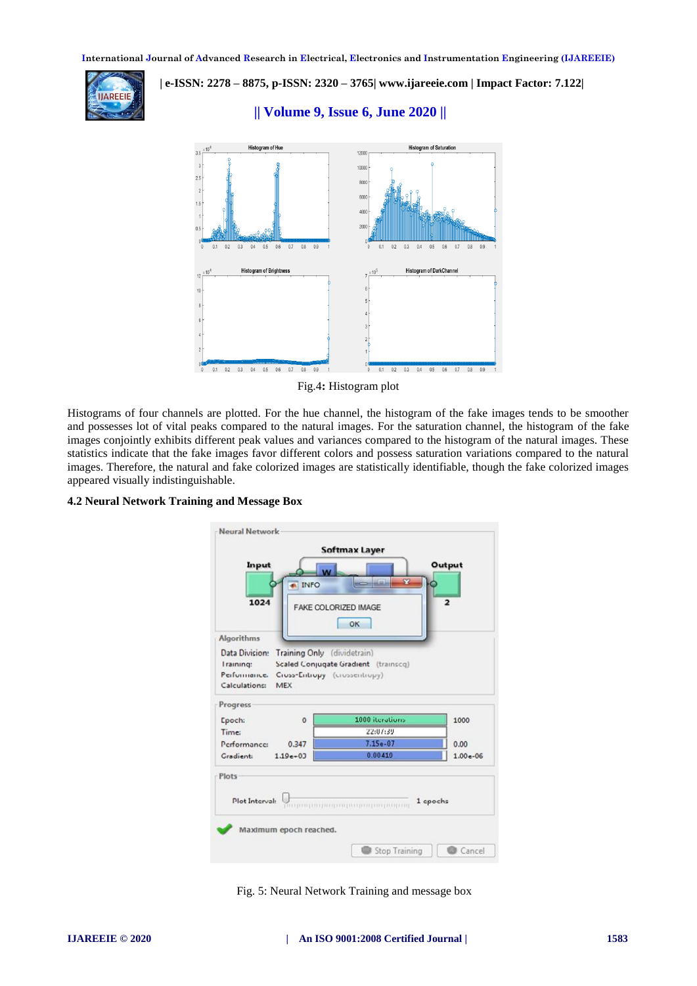**|| Volume 9, Issue 6, June 2020 ||** 



 **| e-ISSN: 2278 – 8875, p-ISSN: 2320 – 3765[| www.ijareeie.com](http://www.ijareeie.com/) | Impact Factor: 7.122|** 



#### Fig.4**:** Histogram plot

Histograms of four channels are plotted. For the hue channel, the histogram of the fake images tends to be smoother and possesses lot of vital peaks compared to the natural images. For the saturation channel, the histogram of the fake images conjointly exhibits different peak values and variances compared to the histogram of the natural images. These statistics indicate that the fake images favor different colors and possess saturation variations compared to the natural images. Therefore, the natural and fake colorized images are statistically identifiable, though the fake colorized images appeared visually indistinguishable.

#### **4.2 Neural Network Training and Message Box**



Fig. 5: Neural Network Training and message box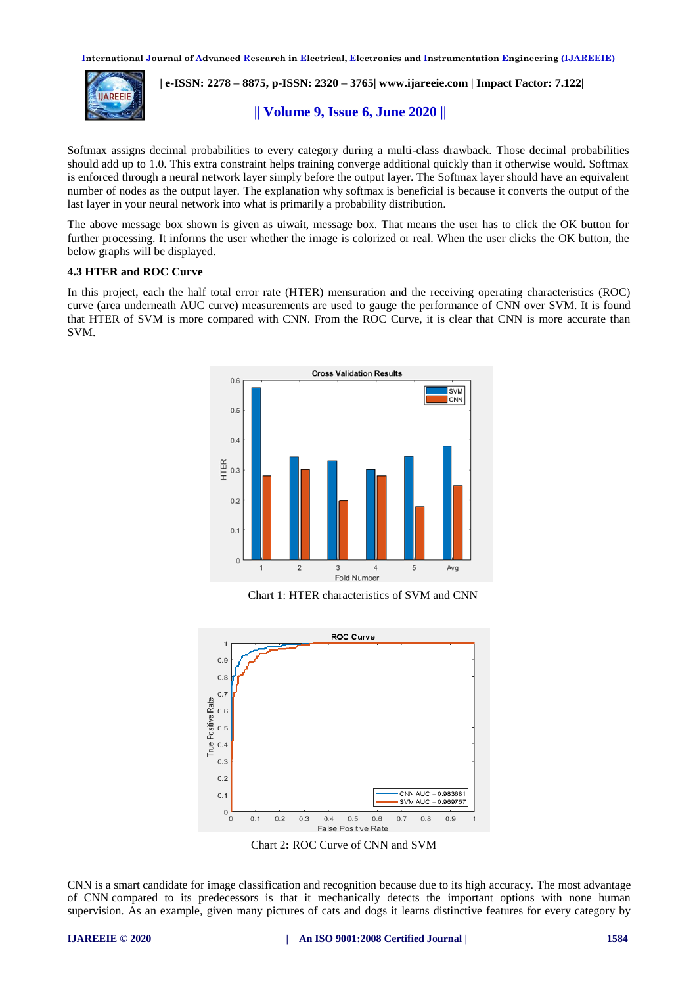

 **| e-ISSN: 2278 – 8875, p-ISSN: 2320 – 3765[| www.ijareeie.com](http://www.ijareeie.com/) | Impact Factor: 7.122|** 

# **|| Volume 9, Issue 6, June 2020 ||**

Softmax assigns decimal probabilities to every category during a multi-class drawback. Those decimal probabilities should add up to 1.0. This extra constraint helps training converge additional quickly than it otherwise would. Softmax is enforced through a neural network layer simply before the output layer. The Softmax layer should have an equivalent number of nodes as the output layer. The explanation why softmax is beneficial is because it converts the output of the last layer in your neural network into what is primarily a probability distribution.

The above message box shown is given as uiwait, message box. That means the user has to click the OK button for further processing. It informs the user whether the image is colorized or real. When the user clicks the OK button, the below graphs will be displayed.

#### **4.3 HTER and ROC Curve**

In this project, each the half total error rate (HTER) mensuration and the receiving operating characteristics (ROC) curve (area underneath AUC curve) measurements are used to gauge the performance of CNN over SVM. It is found that HTER of SVM is more compared with CNN. From the ROC Curve, it is clear that CNN is more accurate than SVM.



Chart 1: HTER characteristics of SVM and CNN



Chart 2**:** ROC Curve of CNN and SVM

CNN is a smart candidate for image classification and recognition because due to its high accuracy. The most advantage of CNN compared to its predecessors is that it mechanically detects the important options with none human supervision. As an example, given many pictures of cats and dogs it learns distinctive features for every category by